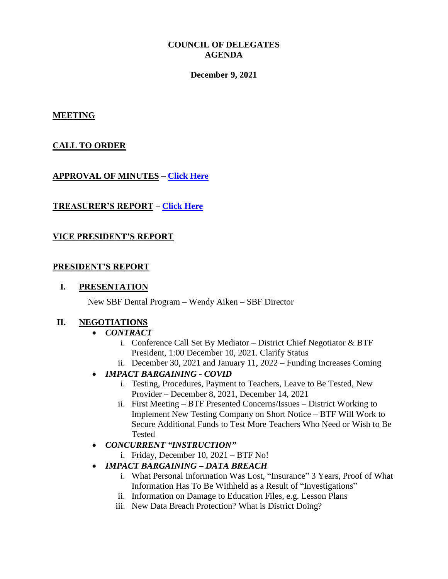### **COUNCIL OF DELEGATES AGENDA**

#### **December 9, 2021**

#### **MEETING**

## **CALL TO ORDER**

## **APPROVAL OF MINUTES – [Click Here](http://www.btfny.org/cod/agendas/2021/dec9/cod_1121_minutes.pdf)**

## **TREASURER'S REPORT – [Click Here](http://www.btfny.org/cod/agendas/2021/fin_state_12921.pdf)**

## **VICE PRESIDENT'S REPORT**

#### **PRESIDENT'S REPORT**

### **I. PRESENTATION**

New SBF Dental Program – Wendy Aiken – SBF Director

#### **II. NEGOTIATIONS**

#### *CONTRACT*

- i. Conference Call Set By Mediator District Chief Negotiator & BTF President, 1:00 December 10, 2021. Clarify Status
- ii. December 30, 2021 and January 11, 2022 Funding Increases Coming

## *IMPACT BARGAINING - COVID*

- i. Testing, Procedures, Payment to Teachers, Leave to Be Tested, New Provider – December 8, 2021, December 14, 2021
- ii. First Meeting BTF Presented Concerns/Issues District Working to Implement New Testing Company on Short Notice – BTF Will Work to Secure Additional Funds to Test More Teachers Who Need or Wish to Be Tested
- *CONCURRENT "INSTRUCTION"*
	- i. Friday, December 10, 2021 BTF No!

## *IMPACT BARGAINING – DATA BREACH*

- i. What Personal Information Was Lost, "Insurance" 3 Years, Proof of What Information Has To Be Withheld as a Result of "Investigations"
- ii. Information on Damage to Education Files, e.g. Lesson Plans
- iii. New Data Breach Protection? What is District Doing?